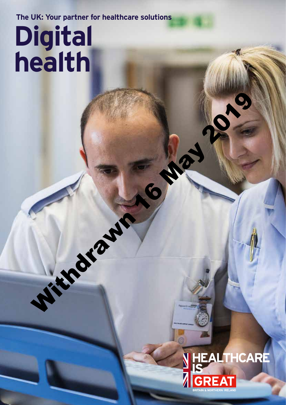**The UK: Your partner for healthcare solutions**

Withdrawn 16 May

# **Digital health**

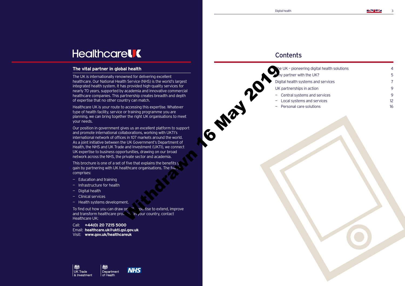$\mathbf{N}$  is  $\mathbf{Z}$ 



# **Healthcarel C**

### **The vital partner in global health**

The UK is internationally renowned for delivering excellent healthcare. Our National Health Service (NHS) is the world's largest integrated health system. It has provided high-quality services for nearly 70 years, supported by academia and innovative commercial healthcare companies. This partnership creates breadth and depth of expertise that no other country can match.

This brochure is one of a set of five that explains the benefits  $y$ gain by partnering with UK healthcare organisations. The full comprises:

Healthcare UK is your route to accessing this expertise. Whatever type of health facility, service or training programme you are planning, we can bring together the right UK organisations to meet your needs.

To find out how you can draw on  $\mathbb{R}^n$  reading to extend, improve and transform healthcare provision in your country, contact Healthcare UK:

Our position in government gives us an excellent platform to support and promote international collaborations, working with UKTI's international network of offices in 107 markets around the world. As a joint initiative between the UK Government's Department of Health, the NHS and UK Trade and Investment (UKTI), we connect UK expertise to business opportunities, drawing on our broad network across the NHS, the private sector and academia.

- Education and training
- Infrastructure for health
- Digital health
- Clinical services
- Health systems development.

Call: **+44(0) 20 7215 5000** Email: **healthcare.uk@ukti.gsi.gov.uk** Visit: **www.gov.uk/healthcareuk**

l of Health





## **Contents**

 $16^{10^{10^{10^{\circ}}}}$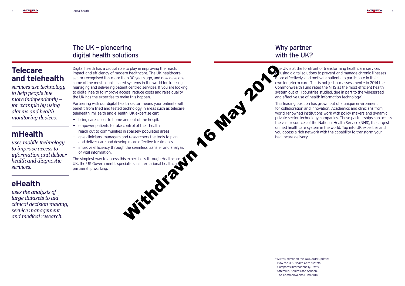## The UK – pioneering digital health solutions

Digital health has a crucial role to play in improving the reach, impact and efficiency of modern healthcare. The UK healthcare sector recognised this more than 30 years ago, and now develops some of the most sophisticated systems in the world for tracking, managing and delivering patient-centred services. If you are looking to digital health to improve access, reduce costs and raise quality, the UK has the expertise to make this happen.

Partnering with our digital health sector means your patients will benefit from tried and tested technology in areas such as telecare, telehealth, mHealth and eHealth. UK expertise can:

- bring care closer to home and out of the hospital
- empower patients to take control of their health
- reach out to communities in sparsely populated areas
- give clinicians, managers and researchers the tools to plan and deliver care and develop more effective treatments
- improve efficiency through the seamless transfer and analysis of vital information.

The simplest way to access this expertise is through Healthcare UK, the UK Government's specialists in international healthcare<br>partnership working. partnership working.

This leading position has grown out of a unique environment for collaboration and innovation. Academics and clinicians from world-renowned institutions work with policy makers and dynamic private sector technology companies. These partnerships can access the vast resources of the National Health Service (NHS), the largest unified healthcare system in the world. Tap into UK expertise and you access a rich network with the capability to transform your healthcare delivery.

## Why partner with the UK?

he UK is at the forefront of transforming healthcare services using digital solutions to prevent and manage chronic illnesses more effectively, and motivate patients to participate in their own long-term care. This is not just our assessment – in 2014 the Commonwealth Fund rated the NHS as the most efficient health system out of 11 countries studied, due in part to the widespread and effective use of health information technology.\*

## **Telecare and telehealth**

*services use technology to help people live more independently – for example by using alarms and health monitoring devices.*

## **mHealth**

*uses mobile technology to improve access to information and deliver health and diagnostic services.* 

## **eHealth**

*uses the analysis of large datasets to aid clinical decision making, service management and medical research.*

> \* Mirror, Mirror on the Wall, 2014 Update: How the U.S. Health Care System Compares Internationally. Davis, Stremikis, Squires and Schoen, The Commonwealth Fund 2014.

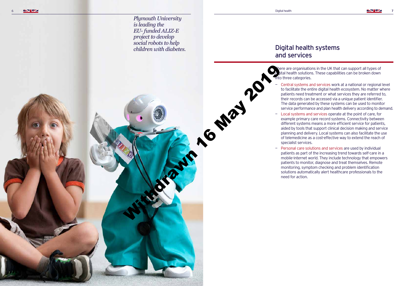**NTIZ** 

# Digital health systems

nere are organisations in the UK that can support all types of ital health solutions. These capabilities can be broken down

# and services

— Central systems and services work at a national or regional level to facilitate the entire digital health ecosystem. No matter where patients need treatment or what services they are referred to, their records can be accessed via a unique patient identifier. The data generated by these systems can be used to monitor service performance and plan health delivery according to demand. — Local systems and services operate at the point of care, for

- nto three categories.
	-
	- specialist services.

**May 2019** 

 $\equiv$ need for action.

example primary care record systems. Connectivity between different systems means a more efficient service for patients, aided by tools that support clinical decision making and service planning and delivery. Local systems can also facilitate the use of telemedicine as a cost-effective way to extend the reach of

Personal care solutions and services are used by individual patients as part of the increasing trend towards self-care in a mobile-internet world. They include technology that empowers patients to monitor, diagnose and treat themselves. Remote monitoring, symptom checking and problem identification solutions automatically alert healthcare professionals to the

*Plymouth University is leading the EU- funded ALIZ-E project to develop social robots to help children with diabetes.*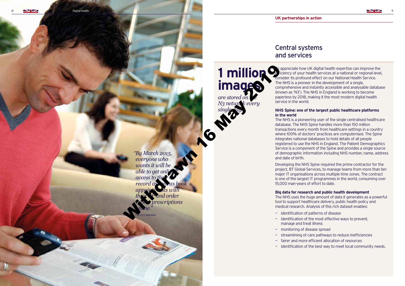## Central systems and services

To appreciate how UK digital health expertise can improve the e ficiency of your health services at a national or regional level, consider its profound effect on our National Health Service. The NHS is a pioneer in the development of a single, comprehensive and instantly accessible and analysable database (known as 'N3'). The NHS in England is working to become paperless by 2018, making it the most modern digital health service in the world.

### **NHS Spine: one of the largest public healthcare platforms**

## **in the world**

The NHS is a pioneering user of the single centralised healthcare database. The NHS Spine handles more than 150 million transactions every month from healthcare settings in a country where 100% of doctors' practices are computerised. The Spine integrates national databases to hold details of all people registered to use the NHS in England. The Patient Demographics Service is a component of the Spine and provides a single source of demographic information including NHS number, name, address and date of birth.

*"By March 2015, everyone who wants it will be able to get onli access to their GP record as well as book appointments with their GP and order repeat prescriptions online."* With the Contract of the Contract of the Contract of the Contract of the Contract of the Contract of the Contract of the Contract of the Contract of the Contract of the Contract of the Contract of the Contract of the Contr

Developing the NHS Spine required the prime contractor for the project, BT Global Services, to manage teams from more than ten major IT organisations across multiple time zones. The contract is one of the largest IT programmes in the world, consuming over 15,000 man-years of effort to date.

### **Big data for research and public health development**

The NHS uses the huge amount of data it generates as a powerful tool to support healthcare delivery, public health policy and medical research. Analysis of this rich dataset enables:

- 
- manage and treat illness
- monitoring of disease spread
- streamlining of care pathways to reduce inefficiencies
- 
- 
- identification of patterns of disease
- identification of the most effective ways to prevent,
	-
- fairer and more efficient allocation of resources
- identification of the best way to meet local community needs.

**1 million** 

**images**

*are stored on the N3 network every* 

*single day.*

The NHS Mandate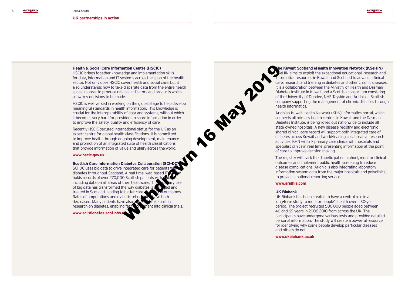## **The Kuwait Scotland eHealth Innovation Network (KSeHIN)**

 $k$ eHIN aims to exploit the exceptional educational, research and informatics resources in Kuwait and Scotland to advance clinical care, research and training in diabetes and other chronic diseases. It is a collaboration between the Ministry of Health and Dasman Diabetes Institute in Kuwait and a Scottish consortium consisting of the University of Dundee, NHS Tayside and Aridhia, a Scottish company supporting the management of chronic diseases through health informatics.

Aridhia's Kuwait Health Network (KHN) informatics portal, which connects all primary health centres in Kuwait and the Dasman Diabetes Institute, is being rolled out nationwide to include all state-owned hospitals. A new disease registry and electronic shared clinical care record will support both integrated care of diabetes across Kuwait and world-leading collaborative research activities. KHN will link primary care clinics with hospitals and specialist clinics in real-time, presenting information at the point of care to improve decision making.

The registry will track the diabetic patient cohort, monitor clinical outcomes and implement public health screening to reduce disease complications. Aridhia is also integrating laboratory information system data from the major hospitals and polyclinics to provide a national reporting service.

#### **www.aridhia.com**

#### **UK Biobank**

 $M^{20}$ 

UK Biobank has been created to have a central role in a long-term study to monitor people's health over a 30-year period. The project recruited 500,000 people aged between 40 and 69 years in 2006-2010 from across the UK. The participants have undergone various tests and provided detailed personal information. The study will create a powerful resource for identifying why some people develop particular diseases and others do not.

**www.ukbiobank.ac.uk**

#### **Health & Social Care Information Centre (HSCIC)**

HSCIC brings together knowledge and implementation skills for data, information and IT systems across the span of the health sector. Not only does HSCIC cover health and social care, but it also understands how to take disparate data from the entire health space in order to produce reliable indicators and products which allow key decisions to be made.

HSCIC is well versed in working on the global stage to help develop meaningful standards in health information. This knowledge is crucial for the interoperability of data and systems, without which it becomes very hard for providers to share information in order to improve the safety, quality and efficiency of care.

Recently HSCIC secured international status for the UK as an expert centre for global health classifications. It is committed to improve health through ongoing development, maintenance and promotion of an integrated suite of health classifications that provide information of value and utility across the world.

#### **www.hscic.gov.uk**

#### **Scottish Care Information Diabetes Collaboration (SCI-D**

SCI-DC uses big data to drive integrated care for patients y diabetes throughout Scotland. A real-time, web-based IT holds records of over 270,000 Scottish patients with including data on all areas of their healthcare. This of big data has transformed the way diabetes is  $n \rightarrow \infty$  and treated in Scotland, leading to better care and clinical outcomes. Rates of amputations and diabetic retinopathy have both decreased. Many patients have also agreed to take part in research on diabetes, enabling fast  $\mathbf k$  channel into clinical trials.

**www.sci-diabetes.scot.nhs.uk**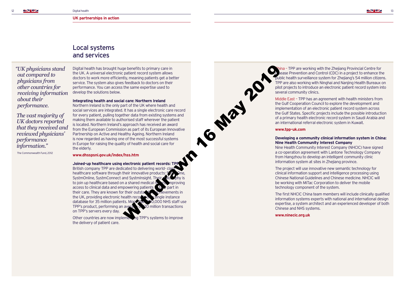## Local systems and services

Digital health has brought huge benefits to primary care in the UK. A universal electronic patient record system allows doctors to work more efficiently, meaning patients get a better service. The system also gives feedback to doctors on their performance. You can access the same expertise used to develop the solutions below.

**Integrating health and social care: Northern Ireland**

Northern Ireland is the only part of the UK where health and social services are integrated. It has a single electronic care record for every patient, pulling together data from existing systems and making them available to authorised staff wherever the patient is located. Northern Ireland's approach has received an award from the European Commission as part of its European Innovative Partnership on Active and Healthy Ageing. Northern Ireland is now regarded as having one of the most successful systems in Europe for raising the quality of health and social care for the elderly.

**Joined-up healthcare using electronic patient records: TPI** British company TPP are dedicated to delivering world-cla healthcare software through their innovative products:  $S$   $\hat{S}$ SystmOnline, SystmConnect and SystmInsight. Their to join up healthcare based on a shared medical re access to clinical data and empowering patients  $\mathbf{t}$  of  $\mathbf{t}$  part in their care. They are known for their outstanding achievements in the UK, providing electronic health records on a single instance database for 35 million patients. More than 200,000 NHS staff use TPP's product, performing an average  $\alpha$  20 million transactions on TPP's servers every day.

Other countries are now implementing TPP's systems to improve the delivery of patient care.

**www.dhsspsni.gov.uk/index/hss.htm**

ina - TPP are working with the Zhejiang Provincial Centre for bease Prevention and Control (CDC) in a project to enhance the public health surveillance system for Zhejiang's 54 million citizens. TPP are also working with Ninghai and Nanjing Health Bureaux on pilot projects to introduce an electronic patient record system into several community clinics.

Middle East – TPP has an agreement with health ministers from the Gulf Cooperation Council to explore the development and implementation of an electronic patient record system across the Gulf States. Specific projects include the possible introduction of a primary health electronic record system in Saudi Arabia and an international referral electronic system in Kuwait.

**www.tpp-uk.com**

 $m^{3}$ 

### **Developing a community clinical information system in China: Nine Health Community Interest Company**

Nine Health Community Interest Company (NHCIC) have signed a co-operation agreement with Lantone Technology Company from Hangzhou to develop an intelligent community clinic information system at sites in Zhejiang province.

The project will use innovative new semantic technology for clinical information support and intelligence processing using Chinese National Guidelines and Chinese medicine. NHCIC will be working with MiTac Corporation to deliver the mobile technology component of the system.

The first NHCIC China team members will include clinically qualified information systems experts with national and international design expertise, a system architect and an experienced developer of both Chinese and NHS systems.

**www.ninecic.org.uk**

*" UK physicians stand out compared to physicians from other countries for receiving information about their performance. The vast majority of* 

*UK doctors reported that they received and reviewed physicians' performance information."*

The Commonwealth Fund, 2012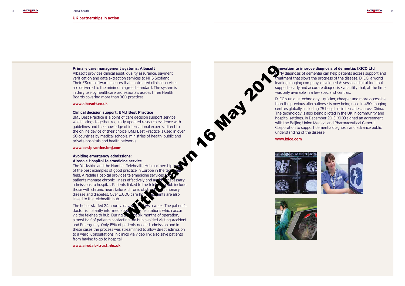### **Innovation to improve diagnosis of dementia: IXICO Ltd**

rly diagnosis of dementia can help patients access support and treatment that slows the progress of the disease. IXICO, a worldleading imaging company, developed Assessa, a digital tool that supports early and accurate diagnosis – a facility that, at the time, was only available in a few specialist centres.







IXICO's unique technology – quicker, cheaper and more accessible than the previous alternatives – is now being used in 450 imaging centres globally, including 25 hospitals in ten cities across China. The technology is also being piloted in the UK in community and hospital settings. In December 2013 IXICO signed an agreement with the Beijing Union Medical and Pharmaceutical General Corporation to support dementia diagnosis and advance public understanding of the disease.

**www.ixico.com**





#### **Primary care management systems: Albasoft**

Albasoft provides clinical audit, quality assurance, payment verification and data extraction services to NHS Scotland. Their EScro software ensures that contracted clinical services are delivered to the minimum agreed standard. The system is in daily use by healthcare professionals across three Health Boards covering more than 300 practices.

#### **www.albasoft.co.uk**

#### **Clinical decision support: BMJ Best Practice**

The hub is staffed 24 hours a day,  $s$  is a week. The patient's doctor is instantly informed about  $\sum$  consultations which occur via the telehealth hub. During  $\mathbf{h}$  is six months of operation, almost half of patients contacting the hub avoided visiting Accident and Emergency. Only 15% of patients needed admission and in these cases the process was streamlined to allow direct admission to a ward. Consultations in clinics via video link also save patients from having to go to hospital.

BMJ Best Practice is a point-of-care decision support service which brings together regularly updated research evidence with guidelines and the knowledge of international experts, direct to the online device of their choice. BMJ Best Practice is used in over 60 countries by medical schools, ministries of health, public and private hospitals and health networks.

#### **www.bestpractice.bmj.com**

#### **Avoiding emergency admissions: Airedale Hospital telemedicine service**

The Yorkshire and the Humber Telehealth Hub partnership of the best examples of good practice in Europe in the te field. Airedale Hospital provides telemedicine services patients manage chronic illness effectively and a admissions to hospital. Patients linked to the tele those with chronic heart failure, chronic obst disease and diabetes. Over 2,000 care home residents are also linked to the telehealth hub. systems: Albasoft<br>
explainance, payment<br>
the contracted clinical services<br>
that contracted clinical services<br>
agreed standard. The system is<br>
agreed standard. The system is<br>
discussionals across three Health<br>
With back res

**www.airedale-trust.nhs.uk**

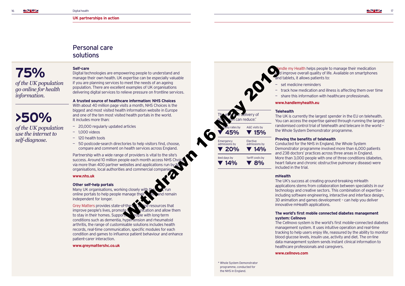## Personal care solutions

#### **Self-care**

Digital technologies are empowering people to understand and manage their own health. UK expertise can be especially valuable if you are planning services to meet the needs of an ageing population. There are excellent examples of UK organisations delivering digital services to relieve pressure on frontline services.

Partnership with a wide range of providers is vital to the site's success. Around 10 million people each month access NHS Cho via more than 400 partner websites and applications run by  $\Lambda$ organisations, local authorities and commercial companies

**A trusted source of healthcare information: NHS Choices**

With about 40 million page visits a month, NHS Choices is the biggest and most visited health information website in Europe and one of the ten most visited health portals in the world. It includes more than:

Many UK organisations, working closely with the NHS, running the NHS, running the NHS, running the NHS, running  $R$ , running  $R$ , running  $R$ , running  $R$ , running  $R$ , running  $R$ , running  $R$ , running  $R$ , running  $R$ , r online portals to help people manage the independent for longer.

- 20,000 regularly updated articles
- 1,000 videos
- 120 health tools
- 50 postcode-search directories to help visitors find, choose, compare and comment on health services across England.

Grey Matters provides state-of-the- $a^*a^*$  online resources that improve people's lives, promote  $\mathcal{C}$  constantion and allow them to stay in their homes. Supporting people with long-term conditions such as dementia, hypertension and rheumatoid arthritis, the range of customisable solutions includes health records, real-time communication, specific modules for each condition and games to influence patient behaviour and enhance patient-carer interaction.

#### **www.nhs.uk**

#### **Other self-help portals**

#### **www.greymattershc.co.uk**

— track how medication and illness is affecting them over time — share this information with healthcare professionals.

The UK is currently the largest spender in the EU on telehealth. You can access the expertise gained through running the largest randomised control trial of telehealth and telecare in the world – the Whole System Demonstrator programme.

#### **Proving the benefits of telehealth**

Conducted for the NHS in England, the Whole System Demonstrator programme involved more than 6,000 patients and 238 doctors' practices across three areas in England. More than 3,000 people with one of three conditions (diabetes, heart failure and chronic obstructive pulmonary disease) were

**mHealth**

The UK's success at creating ground-breaking mHealth applications stems from collaboration between specialists in our technology and creative sectors. This combination of expertise – including software engineering, interactive and interface design, 3D animation and games development – can help you deliver innovative mHealth applications.



### **The world's first mobile connected diabetes management**

## **system: Cellnovo**

The Cellnovo system is the world's first mobile-connected diabetes management system. It uses intuitive operation and real-time tracking to help users enjoy life, reassured by the ability to monitor blood glucose levels, insulin use, activity and diet. The on-line data management system sends instant clinical information to healthcare professionals and caregivers.

#### **www.cellnovo.com**

**75%**  *of the UK population go online for health information.*

**>50%**  *of the UK population use the internet to self-diagnose.*

> \* Whole System Demonstrator programme, conducted for the NHS in England.

andle my Health helps people to manage their medication d improve overall quality of life. Available on smartphones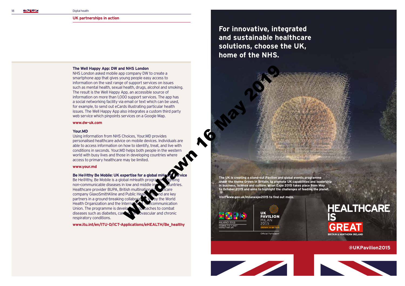NHS London asked mobile app company DW to create a smartphone app that gives young people easy access to information on the vast range of support services on issues such as mental health, sexual health, drugs, alcohol and smoking. The result is the Well Happy App, an accessible source of information on more than 1,000 support services. The app has a social networking facility via email or text which can be used, for example, to send out eCards illustrating particular health issues. The Well Happy App also integrates a custom third party web service which pinpoints services on a Google Map. d NHS London<br>
or propagary Divit o create a<br>
or of supports expressions insues<br>
constrained the distribution and smoking<br>
pp, an accessible source of<br>
the may alcoholo and smoking particular health<br>
so integrates a custom

#### **The Well Happy App: DW and NHS London**

#### **www.dw-uk.com**

#### **Your.MD**

Be He@lthy, Be Mobile is a global mHealth progra non-communicable diseases in low and middle income countries. Healthcare provider BUPA, British multination company GlaxoSmithKline and Public Health partners in a ground-breaking collaboration Health Organization and the International Telecommunication Union. The programme is developing approaches to combat diseases such as diabetes, cancer, can covascular and chronic respiratory conditions.

Using information from NHS Choices, Your.MD provides personalised healthcare advice on mobile devices. Individuals are able to access information on how to identify, treat, and live with conditions in seconds. Your.MD helps both people in the western world with busy lives and those in developing countries where access to primary healthcare may be limited.

#### **www.your.md**

#### **Be He@lthy Be Mobile: UK expertise for a global mHealth services**

**www.itu.int/en/ITU-D/ICT-Applications/eHEALTH/Be\_healthy**

**For innovative, integrated and sustainable healthcare solutions, choose the UK, home of the NHS.**

**The UK is creating a stand-out Pavilion and global events programme under the theme Grown in Britain, to promote UK capabilities and leadership in business, science and culture. Milan Expo 2015 takes place from May to October 2015 and aims to highlight the challenges of feeding the planet.**

**Visit www.gov.uk/milanexpo2015 to find out more.**





Official Particin





**@UKPavilion2015**